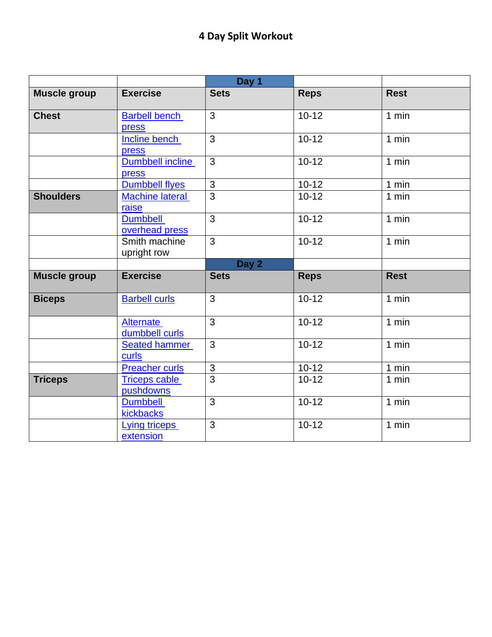|                     |                                   | Day 1          |             |             |
|---------------------|-----------------------------------|----------------|-------------|-------------|
| <b>Muscle group</b> | <b>Exercise</b>                   | <b>Sets</b>    | <b>Reps</b> | <b>Rest</b> |
| <b>Chest</b>        | <b>Barbell bench</b><br>press     | 3              | $10 - 12$   | 1 min       |
|                     | Incline bench<br>press            | 3              | $10 - 12$   | 1 min       |
|                     | Dumbbell incline<br>press         | $\overline{3}$ | $10 - 12$   | 1 min       |
|                     | <b>Dumbbell flyes</b>             | 3              | $10 - 12$   | 1 min       |
| <b>Shoulders</b>    | <b>Machine lateral</b><br>raise   | $\overline{3}$ | $10 - 12$   | 1 min       |
|                     | <b>Dumbbell</b><br>overhead press | $\overline{3}$ | $10 - 12$   | 1 min       |
|                     | Smith machine<br>upright row      | 3              | $10 - 12$   | 1 min       |
|                     |                                   | Day 2          |             |             |
| <b>Muscle group</b> | <b>Exercise</b>                   | <b>Sets</b>    | <b>Reps</b> | <b>Rest</b> |
| <b>Biceps</b>       | <b>Barbell curls</b>              | $\overline{3}$ | $10 - 12$   | 1 min       |
|                     | Alternate<br>dumbbell curls       | 3              | $10 - 12$   | 1 min       |
|                     | <b>Seated hammer</b><br>curls     | $\overline{3}$ | $10 - 12$   | 1 min       |
|                     | <b>Preacher curls</b>             | $\overline{3}$ | $10-12$     | 1 min       |
| <b>Triceps</b>      | <b>Triceps cable</b><br>pushdowns | $\overline{3}$ | $10 - 12$   | $1$ min     |
|                     | <b>Dumbbell</b><br>kickbacks      | $\overline{3}$ | $10 - 12$   | 1 min       |
|                     | Lying triceps<br>extension        | $\overline{3}$ | $10 - 12$   | 1 min       |